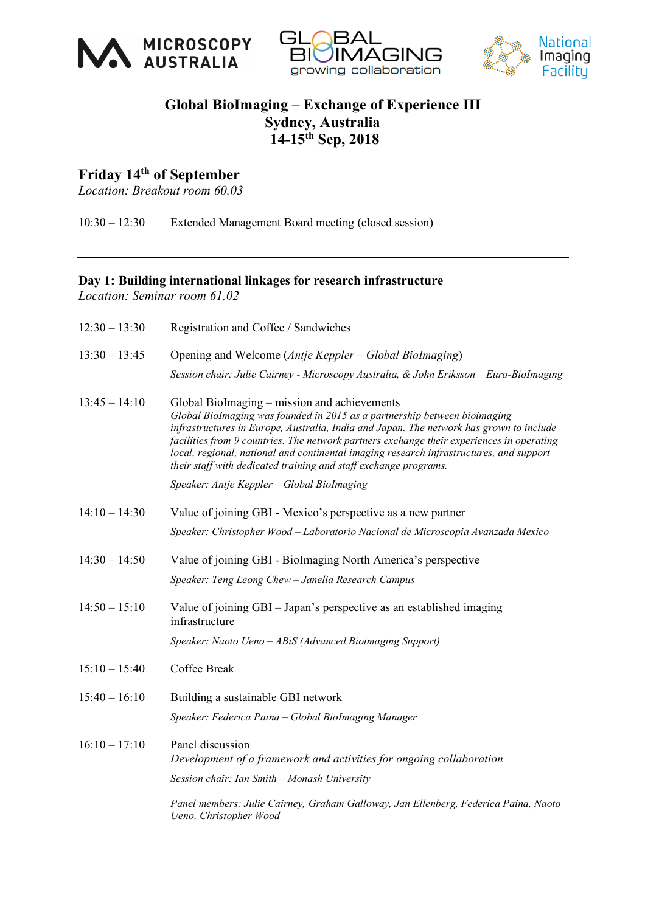





## **Global BioImaging – Exchange of Experience III Sydney, Australia 14-15th Sep, 2018**

#### **Friday 14th of September**

*Location: Breakout room 60.03*

10:30 – 12:30 Extended Management Board meeting (closed session)

#### **Day 1: Building international linkages for research infrastructure**

*Location: Seminar room 61.02*

| $12:30 - 13:30$ | Registration and Coffee / Sandwiches                                                                                                                                                                                                                                                                                                                                                                                                                                             |
|-----------------|----------------------------------------------------------------------------------------------------------------------------------------------------------------------------------------------------------------------------------------------------------------------------------------------------------------------------------------------------------------------------------------------------------------------------------------------------------------------------------|
| $13:30 - 13:45$ | Opening and Welcome (Antje Keppler - Global BioImaging)                                                                                                                                                                                                                                                                                                                                                                                                                          |
|                 | Session chair: Julie Cairney - Microscopy Australia, & John Eriksson - Euro-Biolmaging                                                                                                                                                                                                                                                                                                                                                                                           |
| $13:45 - 14:10$ | Global BioImaging – mission and achievements<br>Global BioImaging was founded in 2015 as a partnership between bioimaging<br>infrastructures in Europe, Australia, India and Japan. The network has grown to include<br>facilities from 9 countries. The network partners exchange their experiences in operating<br>local, regional, national and continental imaging research infrastructures, and support<br>their staff with dedicated training and staff exchange programs. |
|                 | Speaker: Antje Keppler - Global BioImaging                                                                                                                                                                                                                                                                                                                                                                                                                                       |
| $14:10 - 14:30$ | Value of joining GBI - Mexico's perspective as a new partner                                                                                                                                                                                                                                                                                                                                                                                                                     |
|                 | Speaker: Christopher Wood - Laboratorio Nacional de Microscopia Avanzada Mexico                                                                                                                                                                                                                                                                                                                                                                                                  |
| $14:30 - 14:50$ | Value of joining GBI - BioImaging North America's perspective                                                                                                                                                                                                                                                                                                                                                                                                                    |
|                 | Speaker: Teng Leong Chew - Janelia Research Campus                                                                                                                                                                                                                                                                                                                                                                                                                               |
| $14:50 - 15:10$ | Value of joining GBI – Japan's perspective as an established imaging<br>infrastructure                                                                                                                                                                                                                                                                                                                                                                                           |
|                 | Speaker: Naoto Ueno - ABiS (Advanced Bioimaging Support)                                                                                                                                                                                                                                                                                                                                                                                                                         |
| $15:10 - 15:40$ | Coffee Break                                                                                                                                                                                                                                                                                                                                                                                                                                                                     |
| $15:40 - 16:10$ | Building a sustainable GBI network                                                                                                                                                                                                                                                                                                                                                                                                                                               |
|                 | Speaker: Federica Paina - Global BioImaging Manager                                                                                                                                                                                                                                                                                                                                                                                                                              |
| $16:10 - 17:10$ | Panel discussion<br>Development of a framework and activities for ongoing collaboration                                                                                                                                                                                                                                                                                                                                                                                          |
|                 | Session chair: Ian Smith - Monash University                                                                                                                                                                                                                                                                                                                                                                                                                                     |
|                 | Panel members: Julie Cairney, Graham Galloway, Jan Ellenberg, Federica Paina, Naoto<br>Ueno, Christopher Wood                                                                                                                                                                                                                                                                                                                                                                    |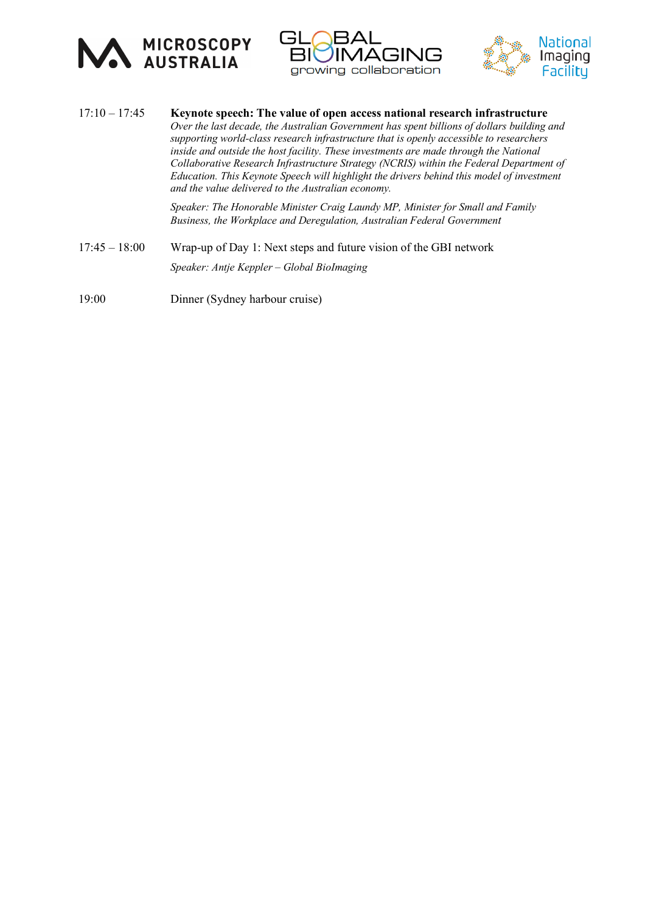





| $17:10 - 17:45$ | Keynote speech: The value of open access national research infrastructure<br>Over the last decade, the Australian Government has spent billions of dollars building and<br>supporting world-class research infrastructure that is openly accessible to researchers<br>inside and outside the host facility. These investments are made through the National<br>Collaborative Research Infrastructure Strategy (NCRIS) within the Federal Department of<br>Education. This Keynote Speech will highlight the drivers behind this model of investment<br>and the value delivered to the Australian economy. |
|-----------------|-----------------------------------------------------------------------------------------------------------------------------------------------------------------------------------------------------------------------------------------------------------------------------------------------------------------------------------------------------------------------------------------------------------------------------------------------------------------------------------------------------------------------------------------------------------------------------------------------------------|
|                 | Speaker: The Honorable Minister Craig Laundy MP, Minister for Small and Family<br>Business, the Workplace and Deregulation, Australian Federal Government                                                                                                                                                                                                                                                                                                                                                                                                                                                 |

- 17:45 18:00 Wrap-up of Day 1: Next steps and future vision of the GBI network *Speaker: Antje Keppler – Global BioImaging*
- 19:00 Dinner (Sydney harbour cruise)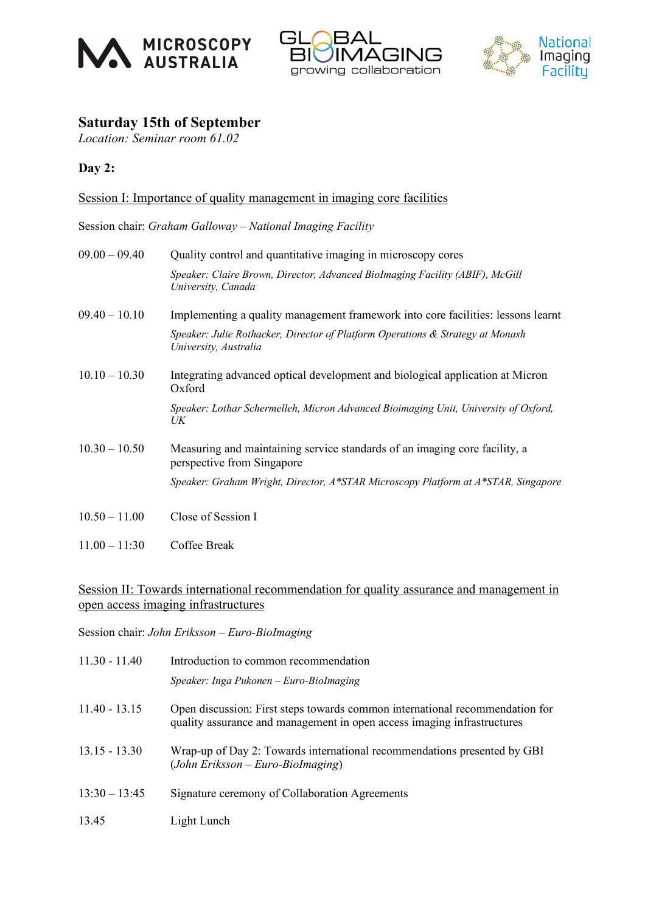





## **Saturday 15th of September**

*Location: Seminar room 61.02*

**Day 2:** 

Session I: Importance of quality management in imaging core facilities

Session chair: *Graham Galloway – National Imaging Facility*

| $09.00 - 09.40$ | Quality control and quantitative imaging in microscopy cores                                             |
|-----------------|----------------------------------------------------------------------------------------------------------|
|                 | Speaker: Claire Brown, Director, Advanced BioImaging Facility (ABIF), McGill<br>University, Canada       |
| $09.40 - 10.10$ | Implementing a quality management framework into core facilities: lessons learnt                         |
|                 | Speaker: Julie Rothacker, Director of Platform Operations & Strategy at Monash<br>University, Australia  |
| $10.10 - 10.30$ | Integrating advanced optical development and biological application at Micron<br>Oxford                  |
|                 | Speaker: Lothar Schermelleh, Micron Advanced Bioimaging Unit, University of Oxford,<br>UK                |
| $10.30 - 10.50$ | Measuring and maintaining service standards of an imaging core facility, a<br>perspective from Singapore |
|                 | Speaker: Graham Wright, Director, A*STAR Microscopy Platform at A*STAR, Singapore                        |
| $10.50 - 11.00$ | Close of Session I                                                                                       |
| $11.00 - 11:30$ | Coffee Break                                                                                             |

#### Session II: Towards international recommendation for quality assurance and management in open access imaging infrastructures

Session chair: *John Eriksson – Euro-BioImaging*

| $11.30 - 11.40$ | Introduction to common recommendation                                                                                                                   |
|-----------------|---------------------------------------------------------------------------------------------------------------------------------------------------------|
|                 | Speaker: Inga Pukonen – Euro-BioImaging                                                                                                                 |
| $11.40 - 13.15$ | Open discussion: First steps towards common international recommendation for<br>quality assurance and management in open access imaging infrastructures |
| $13.15 - 13.30$ | Wrap-up of Day 2: Towards international recommendations presented by GBI<br>$(John Eriksson - Euro-BioImaging)$                                         |
| $13:30 - 13:45$ | Signature ceremony of Collaboration Agreements                                                                                                          |
| 13.45           | Light Lunch                                                                                                                                             |